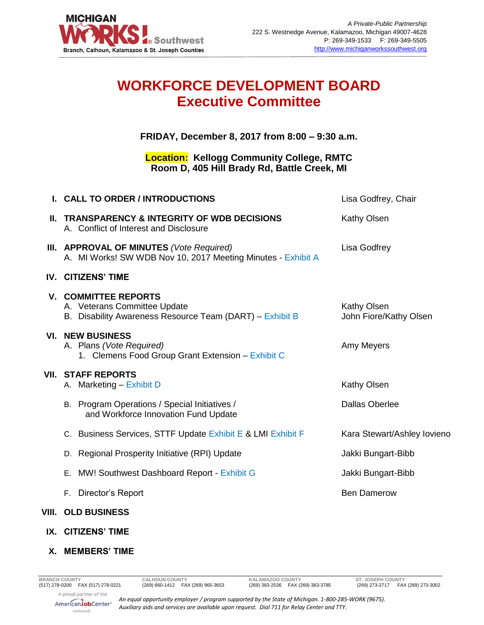

# **WORKFORCE DEVELOPMENT BOARD Executive Committee**

**FRIDAY, December 8, 2017 from 8:00 – 9:30 a.m.**

### **Location: Kellogg Community College, RMTC Room D, 405 Hill Brady Rd, Battle Creek, MI**

| I. CALL TO ORDER / INTRODUCTIONS                                                                                        | Lisa Godfrey, Chair                   |
|-------------------------------------------------------------------------------------------------------------------------|---------------------------------------|
| <b>II. TRANSPARENCY &amp; INTEGRITY OF WDB DECISIONS</b><br>A. Conflict of Interest and Disclosure                      | Kathy Olsen                           |
| III. APPROVAL OF MINUTES (Vote Required)<br>A. MI Works! SW WDB Nov 10, 2017 Meeting Minutes - Exhibit A                | Lisa Godfrey                          |
| <b>IV. CITIZENS' TIME</b>                                                                                               |                                       |
| <b>V. COMMITTEE REPORTS</b><br>A. Veterans Committee Update<br>B. Disability Awareness Resource Team (DART) - Exhibit B | Kathy Olsen<br>John Fiore/Kathy Olsen |
| <b>VI. NEW BUSINESS</b><br>A. Plans (Vote Required)<br>1. Clemens Food Group Grant Extension - Exhibit C                | Amy Meyers                            |
| <b>VII. STAFF REPORTS</b><br>A. Marketing - Exhibit D                                                                   | Kathy Olsen                           |
| B. Program Operations / Special Initiatives /<br>and Workforce Innovation Fund Update                                   | <b>Dallas Oberlee</b>                 |
| C. Business Services, STTF Update Exhibit E & LMI Exhibit F                                                             | Kara Stewart/Ashley lovieno           |
| Regional Prosperity Initiative (RPI) Update<br>D.                                                                       | Jakki Bungart-Bibb                    |
| MW! Southwest Dashboard Report - Exhibit G<br>Е.                                                                        | Jakki Bungart-Bibb                    |
| Director's Report<br>F.                                                                                                 | <b>Ben Damerow</b>                    |
|                                                                                                                         |                                       |

## **VIII. OLD BUSINESS**

- **IX. CITIZENS' TIME**
- **X. MEMBERS' TIME**

*An equal opportunity employer / program supported by the State of Michigan. 1-800-285-WORK (9675). Auxiliary aids and services are available upon request. Dial 711 for Relay Center and TTY.*